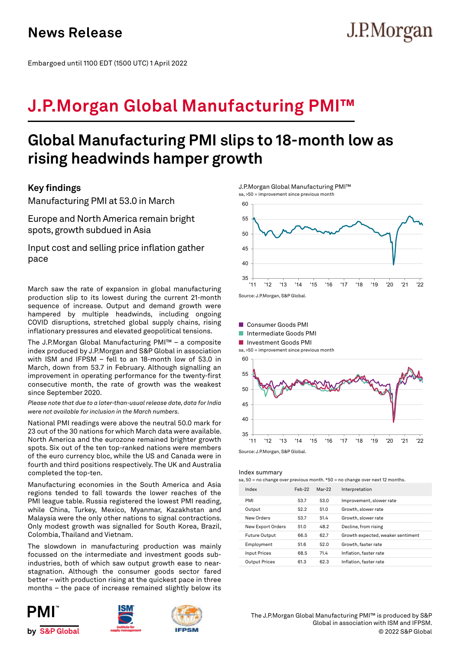Embargoed until 1100 EDT (1500 UTC) 1 April 2022

# **J.P.Morgan Global Manufacturing PMI™**

## **Global Manufacturing PMI slips to 18-month low as rising headwinds hamper growth**

## **Key findings**

Manufacturing PMI at 53.0 in March

Europe and North America remain bright spots, growth subdued in Asia

Input cost and selling price inflation gather pace

March saw the rate of expansion in global manufacturing production slip to its lowest during the current 21-month sequence of increase. Output and demand growth were hampered by multiple headwinds, including ongoing COVID disruptions, stretched global supply chains, rising inflationary pressures and elevated geopolitical tensions.

The J.P.Morgan Global Manufacturing PMI™ – a composite index produced by J.P.Morgan and S&P Global in association with ISM and IFPSM – fell to an 18-month low of 53.0 in March, down from 53.7 in February. Although signalling an improvement in operating performance for the twenty-first consecutive month, the rate of growth was the weakest since September 2020.

*Please note that due to a later-than-usual release date, data for India were not available for inclusion in the March numbers.*

National PMI readings were above the neutral 50.0 mark for 23 out of the 30 nations for which March data were available. North America and the eurozone remained brighter growth spots. Six out of the ten top-ranked nations were members of the euro currency bloc, while the US and Canada were in fourth and third positions respectively. The UK and Australia completed the top-ten.

Manufacturing economies in the South America and Asia regions tended to fall towards the lower reaches of the PMI league table. Russia registered the lowest PMI reading, while China, Turkey, Mexico, Myanmar, Kazakhstan and Malaysia were the only other nations to signal contractions. Only modest growth was signalled for South Korea, Brazil, Colombia, Thailand and Vietnam.

The slowdown in manufacturing production was mainly focussed on the intermediate and investment goods subindustries, both of which saw output growth ease to nearstagnation. Although the consumer goods sector fared better – with production rising at the quickest pace in three months – the pace of increase remained slightly below its







J.P.Morgan Global Manufacturing PMI™ sa, >50 = improvement since previous month



J.P.Morgan



Index summary

sa, 50 = no change over previous month.  $*50$  = no change over next 12 months

| Index                | $Feb-22$ | Mar-22 | Interpretation                    |  |
|----------------------|----------|--------|-----------------------------------|--|
| PMI                  | 53.7     | 53.0   | Improvement, slower rate          |  |
| Output               | 52.2     | 51.0   | Growth, slower rate               |  |
| New Orders           | 53.7     | 51.4   | Growth, slower rate               |  |
| New Export Orders    | 51.0     | 48.2   | Decline, from rising              |  |
| <b>Future Output</b> | 66.5     | 62.7   | Growth expected, weaker sentiment |  |
| Employment           | 51.6     | 52.0   | Growth, faster rate               |  |
| <b>Input Prices</b>  | 68.5     | 71.4   | Inflation, faster rate            |  |
| <b>Output Prices</b> | 61.3     | 62.3   | Inflation, faster rate            |  |

© 2022 S&P Global The J.P.Morgan Global Manufacturing PMI™ is produced by S&P Global in association with ISM and IFPSM.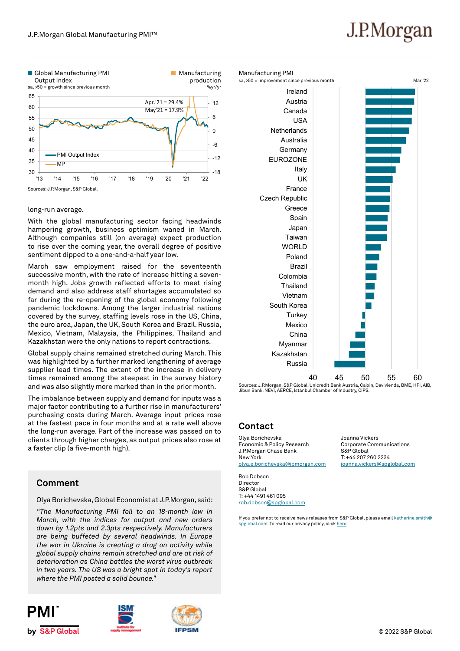# J.P.Morgan



### long-run average.

With the global manufacturing sector facing headwinds hampering growth, business optimism waned in March. Although companies still (on average) expect production to rise over the coming year, the overall degree of positive sentiment dipped to a one-and-a-half year low.

March saw employment raised for the seventeenth successive month, with the rate of increase hitting a sevenmonth high. Jobs growth reflected efforts to meet rising demand and also address staff shortages accumulated so far during the re-opening of the global economy following pandemic lockdowns. Among the larger industrial nations covered by the survey, staffing levels rose in the US, China, the euro area, Japan, the UK, South Korea and Brazil. Russia, Mexico, Vietnam, Malaysia, the Philippines, Thailand and Kazakhstan were the only nations to report contractions.

Global supply chains remained stretched during March. This was highlighted by a further marked lengthening of average supplier lead times. The extent of the increase in delivery times remained among the steepest in the survey history and was also slightly more marked than in the prior month.

The imbalance between supply and demand for inputs was a major factor contributing to a further rise in manufacturers' purchasing costs during March. Average input prices rose at the fastest pace in four months and at a rate well above the long-run average. Part of the increase was passed on to clients through higher charges, as output prices also rose at a faster clip (a five-month high).

## **Comment**

Olya Borichevska, Global Economist at J.P.Morgan, said:

*"The Manufacturing PMI fell to an 18-month low in March, with the indices for output and new orders down by 1.2pts and 2.3pts respectively. Manufacturers are being buffeted by several headwinds. In Europe the war in Ukraine is creating a drag on activity while global supply chains remain stretched and are at risk of deterioration as China battles the worst virus outbreak in two years. The US was a bright spot in today's report where the PMI posted a solid bounce."*









 $\begin{matrix} 40 & 45 & 50 & 55 \end{matrix}$   $\begin{matrix} 60 & 45 & 50 & 60 \end{matrix}$ Jibun Bank, NEVI, AERCE, Istanbul Chamber of Industry, CIPS.

## **Contact**

Olya Borichevska Economic & Policy Research J.P.Morgan Chase Bank New York olya.e.borichevska@jpmorgan.com

Rob Dobson Director S&P Global T: +44 1491 461 095 rob.dobson@spglobal.com

Joanna Vickers Corporate Communications S&P Global T: +44 207 260 2234 joanna.vickers@spglobal.com

If you prefer not to receive news releases from S&P Global, please email katherine.smith@ spglobal.com. To read our privacy policy, click here.